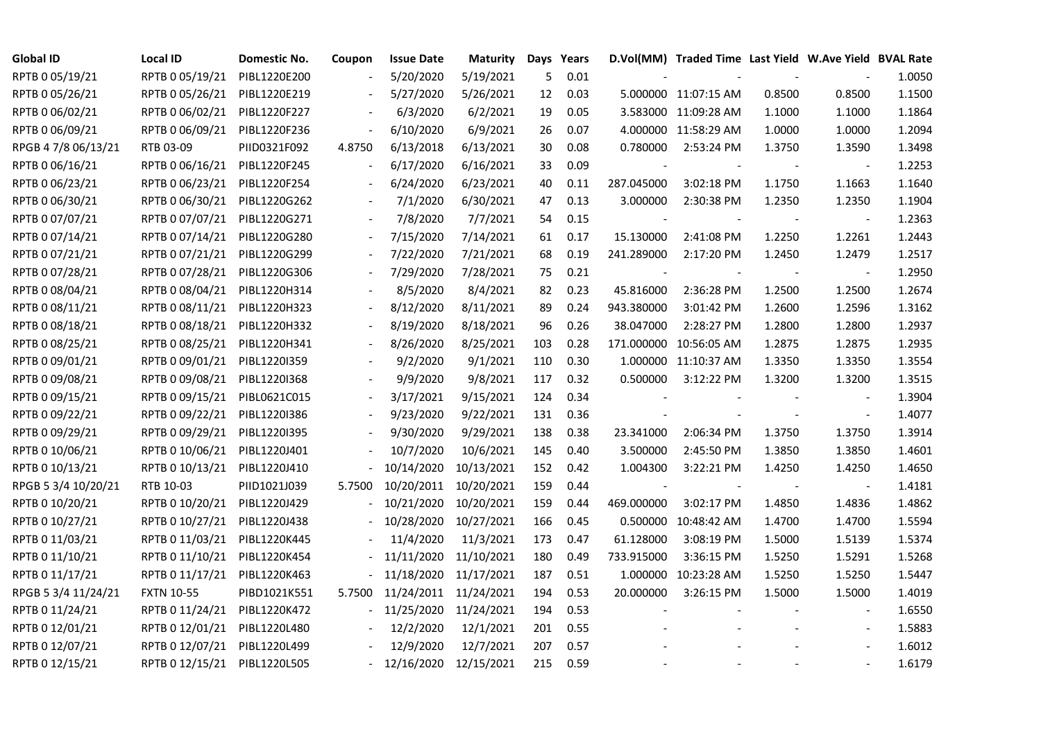| <b>Global ID</b>    | <b>Local ID</b>   | Domestic No. | Coupon         | <b>Issue Date</b> | <b>Maturity</b>       |     | Days Years |            | D.Vol(MM) Traded Time Last Yield W.Ave Yield BVAL Rate |        |                          |        |
|---------------------|-------------------|--------------|----------------|-------------------|-----------------------|-----|------------|------------|--------------------------------------------------------|--------|--------------------------|--------|
| RPTB 0 05/19/21     | RPTB 0 05/19/21   | PIBL1220E200 |                | 5/20/2020         | 5/19/2021             | 5   | 0.01       |            |                                                        |        |                          | 1.0050 |
| RPTB 0 05/26/21     | RPTB 0 05/26/21   | PIBL1220E219 |                | 5/27/2020         | 5/26/2021             | 12  | 0.03       |            | 5.000000 11:07:15 AM                                   | 0.8500 | 0.8500                   | 1.1500 |
| RPTB 0 06/02/21     | RPTB 0 06/02/21   | PIBL1220F227 |                | 6/3/2020          | 6/2/2021              | 19  | 0.05       |            | 3.583000 11:09:28 AM                                   | 1.1000 | 1.1000                   | 1.1864 |
| RPTB 0 06/09/21     | RPTB 0 06/09/21   | PIBL1220F236 |                | 6/10/2020         | 6/9/2021              | 26  | 0.07       |            | 4.000000 11:58:29 AM                                   | 1.0000 | 1.0000                   | 1.2094 |
| RPGB 4 7/8 06/13/21 | RTB 03-09         | PIID0321F092 | 4.8750         | 6/13/2018         | 6/13/2021             | 30  | 0.08       | 0.780000   | 2:53:24 PM                                             | 1.3750 | 1.3590                   | 1.3498 |
| RPTB 0 06/16/21     | RPTB 0 06/16/21   | PIBL1220F245 |                | 6/17/2020         | 6/16/2021             | 33  | 0.09       |            |                                                        |        | $\blacksquare$           | 1.2253 |
| RPTB 0 06/23/21     | RPTB 0 06/23/21   | PIBL1220F254 |                | 6/24/2020         | 6/23/2021             | 40  | 0.11       | 287.045000 | 3:02:18 PM                                             | 1.1750 | 1.1663                   | 1.1640 |
| RPTB 0 06/30/21     | RPTB 0 06/30/21   | PIBL1220G262 |                | 7/1/2020          | 6/30/2021             | 47  | 0.13       | 3.000000   | 2:30:38 PM                                             | 1.2350 | 1.2350                   | 1.1904 |
| RPTB 0 07/07/21     | RPTB 0 07/07/21   | PIBL1220G271 |                | 7/8/2020          | 7/7/2021              | 54  | 0.15       |            |                                                        |        |                          | 1.2363 |
| RPTB 0 07/14/21     | RPTB 0 07/14/21   | PIBL1220G280 |                | 7/15/2020         | 7/14/2021             | 61  | 0.17       | 15.130000  | 2:41:08 PM                                             | 1.2250 | 1.2261                   | 1.2443 |
| RPTB 0 07/21/21     | RPTB 0 07/21/21   | PIBL1220G299 |                | 7/22/2020         | 7/21/2021             | 68  | 0.19       | 241.289000 | 2:17:20 PM                                             | 1.2450 | 1.2479                   | 1.2517 |
| RPTB 0 07/28/21     | RPTB 0 07/28/21   | PIBL1220G306 |                | 7/29/2020         | 7/28/2021             | 75  | 0.21       |            |                                                        |        |                          | 1.2950 |
| RPTB 0 08/04/21     | RPTB 0 08/04/21   | PIBL1220H314 |                | 8/5/2020          | 8/4/2021              | 82  | 0.23       | 45.816000  | 2:36:28 PM                                             | 1.2500 | 1.2500                   | 1.2674 |
| RPTB 0 08/11/21     | RPTB 0 08/11/21   | PIBL1220H323 |                | 8/12/2020         | 8/11/2021             | 89  | 0.24       | 943.380000 | 3:01:42 PM                                             | 1.2600 | 1.2596                   | 1.3162 |
| RPTB 0 08/18/21     | RPTB 0 08/18/21   | PIBL1220H332 |                | 8/19/2020         | 8/18/2021             | 96  | 0.26       | 38.047000  | 2:28:27 PM                                             | 1.2800 | 1.2800                   | 1.2937 |
| RPTB 0 08/25/21     | RPTB 0 08/25/21   | PIBL1220H341 |                | 8/26/2020         | 8/25/2021             | 103 | 0.28       |            | 171.000000 10:56:05 AM                                 | 1.2875 | 1.2875                   | 1.2935 |
| RPTB 0 09/01/21     | RPTB 0 09/01/21   | PIBL1220I359 |                | 9/2/2020          | 9/1/2021              | 110 | 0.30       |            | 1.000000 11:10:37 AM                                   | 1.3350 | 1.3350                   | 1.3554 |
| RPTB 0 09/08/21     | RPTB 0 09/08/21   | PIBL1220I368 |                | 9/9/2020          | 9/8/2021              | 117 | 0.32       | 0.500000   | 3:12:22 PM                                             | 1.3200 | 1.3200                   | 1.3515 |
| RPTB 0 09/15/21     | RPTB 0 09/15/21   | PIBL0621C015 | $\blacksquare$ | 3/17/2021         | 9/15/2021             | 124 | 0.34       |            |                                                        |        |                          | 1.3904 |
| RPTB 0 09/22/21     | RPTB 0 09/22/21   | PIBL1220I386 |                | 9/23/2020         | 9/22/2021             | 131 | 0.36       |            |                                                        |        | $\blacksquare$           | 1.4077 |
| RPTB 0 09/29/21     | RPTB 0 09/29/21   | PIBL1220I395 |                | 9/30/2020         | 9/29/2021             | 138 | 0.38       | 23.341000  | 2:06:34 PM                                             | 1.3750 | 1.3750                   | 1.3914 |
| RPTB 0 10/06/21     | RPTB 0 10/06/21   | PIBL1220J401 |                | 10/7/2020         | 10/6/2021             | 145 | 0.40       | 3.500000   | 2:45:50 PM                                             | 1.3850 | 1.3850                   | 1.4601 |
| RPTB 0 10/13/21     | RPTB 0 10/13/21   | PIBL1220J410 |                | 10/14/2020        | 10/13/2021            | 152 | 0.42       | 1.004300   | 3:22:21 PM                                             | 1.4250 | 1.4250                   | 1.4650 |
| RPGB 5 3/4 10/20/21 | RTB 10-03         | PIID1021J039 | 5.7500         | 10/20/2011        | 10/20/2021            | 159 | 0.44       |            |                                                        |        |                          | 1.4181 |
| RPTB 0 10/20/21     | RPTB 0 10/20/21   | PIBL1220J429 |                | 10/21/2020        | 10/20/2021            | 159 | 0.44       | 469.000000 | 3:02:17 PM                                             | 1.4850 | 1.4836                   | 1.4862 |
| RPTB 0 10/27/21     | RPTB 0 10/27/21   | PIBL1220J438 |                | 10/28/2020        | 10/27/2021            | 166 | 0.45       |            | 0.500000 10:48:42 AM                                   | 1.4700 | 1.4700                   | 1.5594 |
| RPTB 0 11/03/21     | RPTB 0 11/03/21   | PIBL1220K445 |                | 11/4/2020         | 11/3/2021             | 173 | 0.47       | 61.128000  | 3:08:19 PM                                             | 1.5000 | 1.5139                   | 1.5374 |
| RPTB 0 11/10/21     | RPTB 0 11/10/21   | PIBL1220K454 |                | 11/11/2020        | 11/10/2021            | 180 | 0.49       | 733.915000 | 3:36:15 PM                                             | 1.5250 | 1.5291                   | 1.5268 |
| RPTB 0 11/17/21     | RPTB 0 11/17/21   | PIBL1220K463 |                | 11/18/2020        | 11/17/2021            | 187 | 0.51       |            | 1.000000 10:23:28 AM                                   | 1.5250 | 1.5250                   | 1.5447 |
| RPGB 5 3/4 11/24/21 | <b>FXTN 10-55</b> | PIBD1021K551 | 5.7500         |                   | 11/24/2011 11/24/2021 | 194 | 0.53       | 20.000000  | 3:26:15 PM                                             | 1.5000 | 1.5000                   | 1.4019 |
| RPTB 0 11/24/21     | RPTB 0 11/24/21   | PIBL1220K472 |                | 11/25/2020        | 11/24/2021            | 194 | 0.53       |            |                                                        |        |                          | 1.6550 |
| RPTB 0 12/01/21     | RPTB 0 12/01/21   | PIBL1220L480 |                | 12/2/2020         | 12/1/2021             | 201 | 0.55       |            |                                                        |        | $\overline{\phantom{a}}$ | 1.5883 |
| RPTB 0 12/07/21     | RPTB 0 12/07/21   | PIBL1220L499 |                | 12/9/2020         | 12/7/2021             | 207 | 0.57       |            |                                                        |        |                          | 1.6012 |
| RPTB 0 12/15/21     | RPTB 0 12/15/21   | PIBL1220L505 |                | $-12/16/2020$     | 12/15/2021            | 215 | 0.59       |            |                                                        |        |                          | 1.6179 |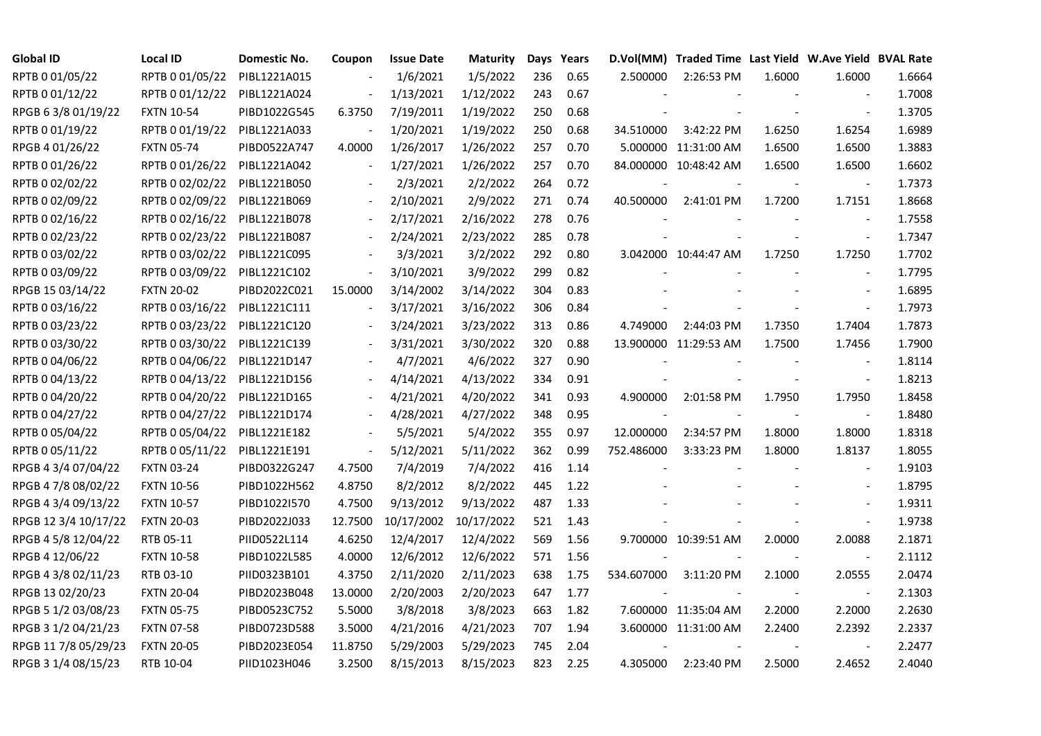| <b>Global ID</b>     | <b>Local ID</b>   | Domestic No. | Coupon                   | <b>Issue Date</b> | Maturity   |     | Days Years |            | D.Vol(MM) Traded Time Last Yield W.Ave Yield BVAL Rate |        |                          |        |
|----------------------|-------------------|--------------|--------------------------|-------------------|------------|-----|------------|------------|--------------------------------------------------------|--------|--------------------------|--------|
| RPTB 0 01/05/22      | RPTB 0 01/05/22   | PIBL1221A015 |                          | 1/6/2021          | 1/5/2022   | 236 | 0.65       | 2.500000   | 2:26:53 PM                                             | 1.6000 | 1.6000                   | 1.6664 |
| RPTB 0 01/12/22      | RPTB 0 01/12/22   | PIBL1221A024 |                          | 1/13/2021         | 1/12/2022  | 243 | 0.67       |            |                                                        |        |                          | 1.7008 |
| RPGB 63/8 01/19/22   | <b>FXTN 10-54</b> | PIBD1022G545 | 6.3750                   | 7/19/2011         | 1/19/2022  | 250 | 0.68       |            |                                                        |        | $\blacksquare$           | 1.3705 |
| RPTB 0 01/19/22      | RPTB 0 01/19/22   | PIBL1221A033 |                          | 1/20/2021         | 1/19/2022  | 250 | 0.68       | 34.510000  | 3:42:22 PM                                             | 1.6250 | 1.6254                   | 1.6989 |
| RPGB 4 01/26/22      | <b>FXTN 05-74</b> | PIBD0522A747 | 4.0000                   | 1/26/2017         | 1/26/2022  | 257 | 0.70       |            | 5.000000 11:31:00 AM                                   | 1.6500 | 1.6500                   | 1.3883 |
| RPTB 0 01/26/22      | RPTB 0 01/26/22   | PIBL1221A042 | $\blacksquare$           | 1/27/2021         | 1/26/2022  | 257 | 0.70       |            | 84.000000 10:48:42 AM                                  | 1.6500 | 1.6500                   | 1.6602 |
| RPTB 0 02/02/22      | RPTB 0 02/02/22   | PIBL1221B050 |                          | 2/3/2021          | 2/2/2022   | 264 | 0.72       |            |                                                        |        | $\overline{\phantom{a}}$ | 1.7373 |
| RPTB 0 02/09/22      | RPTB 0 02/09/22   | PIBL1221B069 | $\overline{\phantom{a}}$ | 2/10/2021         | 2/9/2022   | 271 | 0.74       | 40.500000  | 2:41:01 PM                                             | 1.7200 | 1.7151                   | 1.8668 |
| RPTB 0 02/16/22      | RPTB 0 02/16/22   | PIBL1221B078 |                          | 2/17/2021         | 2/16/2022  | 278 | 0.76       |            |                                                        |        |                          | 1.7558 |
| RPTB 0 02/23/22      | RPTB 0 02/23/22   | PIBL1221B087 |                          | 2/24/2021         | 2/23/2022  | 285 | 0.78       |            |                                                        |        | $\blacksquare$           | 1.7347 |
| RPTB 0 03/02/22      | RPTB 0 03/02/22   | PIBL1221C095 | $\overline{\phantom{a}}$ | 3/3/2021          | 3/2/2022   | 292 | 0.80       |            | 3.042000 10:44:47 AM                                   | 1.7250 | 1.7250                   | 1.7702 |
| RPTB 0 03/09/22      | RPTB 0 03/09/22   | PIBL1221C102 | $\overline{\phantom{a}}$ | 3/10/2021         | 3/9/2022   | 299 | 0.82       |            |                                                        |        | $\blacksquare$           | 1.7795 |
| RPGB 15 03/14/22     | <b>FXTN 20-02</b> | PIBD2022C021 | 15.0000                  | 3/14/2002         | 3/14/2022  | 304 | 0.83       |            |                                                        |        | $\overline{\phantom{a}}$ | 1.6895 |
| RPTB 0 03/16/22      | RPTB 0 03/16/22   | PIBL1221C111 | $\blacksquare$           | 3/17/2021         | 3/16/2022  | 306 | 0.84       |            |                                                        |        | $\blacksquare$           | 1.7973 |
| RPTB 0 03/23/22      | RPTB 0 03/23/22   | PIBL1221C120 |                          | 3/24/2021         | 3/23/2022  | 313 | 0.86       | 4.749000   | 2:44:03 PM                                             | 1.7350 | 1.7404                   | 1.7873 |
| RPTB 0 03/30/22      | RPTB 0 03/30/22   | PIBL1221C139 |                          | 3/31/2021         | 3/30/2022  | 320 | 0.88       |            | 13.900000 11:29:53 AM                                  | 1.7500 | 1.7456                   | 1.7900 |
| RPTB 0 04/06/22      | RPTB 0 04/06/22   | PIBL1221D147 |                          | 4/7/2021          | 4/6/2022   | 327 | 0.90       |            |                                                        |        |                          | 1.8114 |
| RPTB 0 04/13/22      | RPTB 0 04/13/22   | PIBL1221D156 | $\blacksquare$           | 4/14/2021         | 4/13/2022  | 334 | 0.91       |            |                                                        |        | $\overline{\phantom{a}}$ | 1.8213 |
| RPTB 0 04/20/22      | RPTB 0 04/20/22   | PIBL1221D165 | $\blacksquare$           | 4/21/2021         | 4/20/2022  | 341 | 0.93       | 4.900000   | 2:01:58 PM                                             | 1.7950 | 1.7950                   | 1.8458 |
| RPTB 0 04/27/22      | RPTB 0 04/27/22   | PIBL1221D174 |                          | 4/28/2021         | 4/27/2022  | 348 | 0.95       |            |                                                        |        |                          | 1.8480 |
| RPTB 0 05/04/22      | RPTB 0 05/04/22   | PIBL1221E182 |                          | 5/5/2021          | 5/4/2022   | 355 | 0.97       | 12.000000  | 2:34:57 PM                                             | 1.8000 | 1.8000                   | 1.8318 |
| RPTB 0 05/11/22      | RPTB 0 05/11/22   | PIBL1221E191 | $\overline{\phantom{a}}$ | 5/12/2021         | 5/11/2022  | 362 | 0.99       | 752.486000 | 3:33:23 PM                                             | 1.8000 | 1.8137                   | 1.8055 |
| RPGB 4 3/4 07/04/22  | <b>FXTN 03-24</b> | PIBD0322G247 | 4.7500                   | 7/4/2019          | 7/4/2022   | 416 | 1.14       |            |                                                        |        |                          | 1.9103 |
| RPGB 4 7/8 08/02/22  | <b>FXTN 10-56</b> | PIBD1022H562 | 4.8750                   | 8/2/2012          | 8/2/2022   | 445 | 1.22       |            |                                                        |        | $\overline{\phantom{a}}$ | 1.8795 |
| RPGB 4 3/4 09/13/22  | <b>FXTN 10-57</b> | PIBD1022I570 | 4.7500                   | 9/13/2012         | 9/13/2022  | 487 | 1.33       |            |                                                        |        | $\overline{\phantom{a}}$ | 1.9311 |
| RPGB 12 3/4 10/17/22 | <b>FXTN 20-03</b> | PIBD2022J033 | 12.7500                  | 10/17/2002        | 10/17/2022 | 521 | 1.43       |            |                                                        |        | $\blacksquare$           | 1.9738 |
| RPGB 4 5/8 12/04/22  | RTB 05-11         | PIID0522L114 | 4.6250                   | 12/4/2017         | 12/4/2022  | 569 | 1.56       |            | 9.700000 10:39:51 AM                                   | 2.0000 | 2.0088                   | 2.1871 |
| RPGB 4 12/06/22      | <b>FXTN 10-58</b> | PIBD1022L585 | 4.0000                   | 12/6/2012         | 12/6/2022  | 571 | 1.56       |            |                                                        |        | $\overline{\phantom{a}}$ | 2.1112 |
| RPGB 4 3/8 02/11/23  | RTB 03-10         | PIID0323B101 | 4.3750                   | 2/11/2020         | 2/11/2023  | 638 | 1.75       | 534.607000 | 3:11:20 PM                                             | 2.1000 | 2.0555                   | 2.0474 |
| RPGB 13 02/20/23     | <b>FXTN 20-04</b> | PIBD2023B048 | 13.0000                  | 2/20/2003         | 2/20/2023  | 647 | 1.77       |            |                                                        |        |                          | 2.1303 |
| RPGB 5 1/2 03/08/23  | <b>FXTN 05-75</b> | PIBD0523C752 | 5.5000                   | 3/8/2018          | 3/8/2023   | 663 | 1.82       |            | 7.600000 11:35:04 AM                                   | 2.2000 | 2.2000                   | 2.2630 |
| RPGB 3 1/2 04/21/23  | <b>FXTN 07-58</b> | PIBD0723D588 | 3.5000                   | 4/21/2016         | 4/21/2023  | 707 | 1.94       |            | 3.600000 11:31:00 AM                                   | 2.2400 | 2.2392                   | 2.2337 |
| RPGB 11 7/8 05/29/23 | <b>FXTN 20-05</b> | PIBD2023E054 | 11.8750                  | 5/29/2003         | 5/29/2023  | 745 | 2.04       |            |                                                        |        |                          | 2.2477 |
| RPGB 3 1/4 08/15/23  | RTB 10-04         | PIID1023H046 | 3.2500                   | 8/15/2013         | 8/15/2023  | 823 | 2.25       | 4.305000   | 2:23:40 PM                                             | 2.5000 | 2.4652                   | 2.4040 |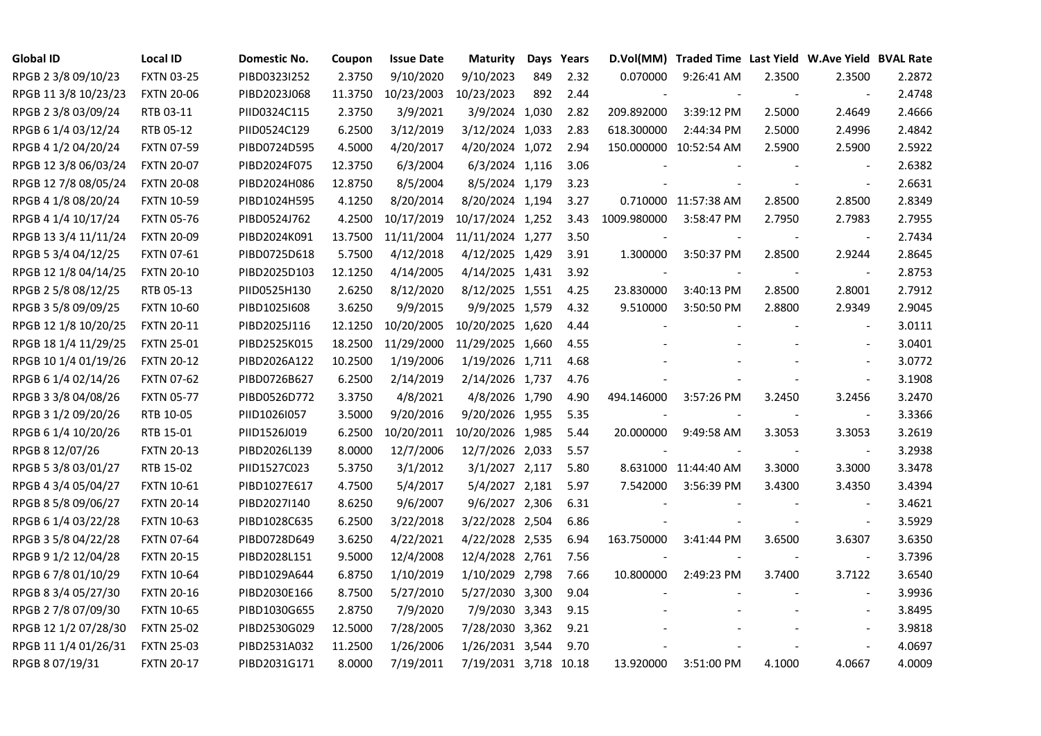| <b>Global ID</b>     | <b>Local ID</b>   | Domestic No. | Coupon  | <b>Issue Date</b> | <b>Maturity</b>       |     | Days Years | D.Vol(MM)   | Traded Time Last Yield W.Ave Yield BVAL Rate |        |                          |        |
|----------------------|-------------------|--------------|---------|-------------------|-----------------------|-----|------------|-------------|----------------------------------------------|--------|--------------------------|--------|
| RPGB 2 3/8 09/10/23  | <b>FXTN 03-25</b> | PIBD0323I252 | 2.3750  | 9/10/2020         | 9/10/2023             | 849 | 2.32       | 0.070000    | 9:26:41 AM                                   | 2.3500 | 2.3500                   | 2.2872 |
| RPGB 11 3/8 10/23/23 | <b>FXTN 20-06</b> | PIBD2023J068 | 11.3750 | 10/23/2003        | 10/23/2023            | 892 | 2.44       |             |                                              |        | $\sim$                   | 2.4748 |
| RPGB 2 3/8 03/09/24  | RTB 03-11         | PIID0324C115 | 2.3750  | 3/9/2021          | 3/9/2024 1,030        |     | 2.82       | 209.892000  | 3:39:12 PM                                   | 2.5000 | 2.4649                   | 2.4666 |
| RPGB 6 1/4 03/12/24  | RTB 05-12         | PIID0524C129 | 6.2500  | 3/12/2019         | 3/12/2024 1,033       |     | 2.83       | 618.300000  | 2:44:34 PM                                   | 2.5000 | 2.4996                   | 2.4842 |
| RPGB 4 1/2 04/20/24  | <b>FXTN 07-59</b> | PIBD0724D595 | 4.5000  | 4/20/2017         | 4/20/2024 1,072       |     | 2.94       |             | 150.000000 10:52:54 AM                       | 2.5900 | 2.5900                   | 2.5922 |
| RPGB 12 3/8 06/03/24 | <b>FXTN 20-07</b> | PIBD2024F075 | 12.3750 | 6/3/2004          | 6/3/2024 1,116        |     | 3.06       |             |                                              |        | $\overline{\phantom{a}}$ | 2.6382 |
| RPGB 12 7/8 08/05/24 | <b>FXTN 20-08</b> | PIBD2024H086 | 12.8750 | 8/5/2004          | 8/5/2024 1,179        |     | 3.23       |             |                                              |        | $\blacksquare$           | 2.6631 |
| RPGB 4 1/8 08/20/24  | <b>FXTN 10-59</b> | PIBD1024H595 | 4.1250  | 8/20/2014         | 8/20/2024 1,194       |     | 3.27       |             | 0.710000 11:57:38 AM                         | 2.8500 | 2.8500                   | 2.8349 |
| RPGB 4 1/4 10/17/24  | <b>FXTN 05-76</b> | PIBD0524J762 | 4.2500  | 10/17/2019        | 10/17/2024 1,252      |     | 3.43       | 1009.980000 | 3:58:47 PM                                   | 2.7950 | 2.7983                   | 2.7955 |
| RPGB 13 3/4 11/11/24 | <b>FXTN 20-09</b> | PIBD2024K091 | 13.7500 | 11/11/2004        | 11/11/2024 1,277      |     | 3.50       |             |                                              |        |                          | 2.7434 |
| RPGB 5 3/4 04/12/25  | FXTN 07-61        | PIBD0725D618 | 5.7500  | 4/12/2018         | 4/12/2025 1,429       |     | 3.91       | 1.300000    | 3:50:37 PM                                   | 2.8500 | 2.9244                   | 2.8645 |
| RPGB 12 1/8 04/14/25 | <b>FXTN 20-10</b> | PIBD2025D103 | 12.1250 | 4/14/2005         | 4/14/2025 1,431       |     | 3.92       |             |                                              |        | $\overline{\phantom{a}}$ | 2.8753 |
| RPGB 2 5/8 08/12/25  | RTB 05-13         | PIID0525H130 | 2.6250  | 8/12/2020         | 8/12/2025 1,551       |     | 4.25       | 23.830000   | 3:40:13 PM                                   | 2.8500 | 2.8001                   | 2.7912 |
| RPGB 3 5/8 09/09/25  | <b>FXTN 10-60</b> | PIBD10251608 | 3.6250  | 9/9/2015          | 9/9/2025 1,579        |     | 4.32       | 9.510000    | 3:50:50 PM                                   | 2.8800 | 2.9349                   | 2.9045 |
| RPGB 12 1/8 10/20/25 | <b>FXTN 20-11</b> | PIBD2025J116 | 12.1250 | 10/20/2005        | 10/20/2025 1,620      |     | 4.44       |             |                                              |        | $\blacksquare$           | 3.0111 |
| RPGB 18 1/4 11/29/25 | <b>FXTN 25-01</b> | PIBD2525K015 | 18.2500 | 11/29/2000        | 11/29/2025 1,660      |     | 4.55       |             |                                              |        |                          | 3.0401 |
| RPGB 10 1/4 01/19/26 | <b>FXTN 20-12</b> | PIBD2026A122 | 10.2500 | 1/19/2006         | 1/19/2026 1,711       |     | 4.68       |             |                                              |        | $\overline{\phantom{a}}$ | 3.0772 |
| RPGB 6 1/4 02/14/26  | <b>FXTN 07-62</b> | PIBD0726B627 | 6.2500  | 2/14/2019         | 2/14/2026 1,737       |     | 4.76       |             |                                              |        | $\overline{\phantom{a}}$ | 3.1908 |
| RPGB 3 3/8 04/08/26  | <b>FXTN 05-77</b> | PIBD0526D772 | 3.3750  | 4/8/2021          | 4/8/2026 1,790        |     | 4.90       | 494.146000  | 3:57:26 PM                                   | 3.2450 | 3.2456                   | 3.2470 |
| RPGB 3 1/2 09/20/26  | RTB 10-05         | PIID1026I057 | 3.5000  | 9/20/2016         | 9/20/2026 1,955       |     | 5.35       |             |                                              |        |                          | 3.3366 |
| RPGB 6 1/4 10/20/26  | RTB 15-01         | PIID1526J019 | 6.2500  | 10/20/2011        | 10/20/2026 1,985      |     | 5.44       | 20.000000   | 9:49:58 AM                                   | 3.3053 | 3.3053                   | 3.2619 |
| RPGB 8 12/07/26      | <b>FXTN 20-13</b> | PIBD2026L139 | 8.0000  | 12/7/2006         | 12/7/2026 2,033       |     | 5.57       |             |                                              |        | $\blacksquare$           | 3.2938 |
| RPGB 5 3/8 03/01/27  | RTB 15-02         | PIID1527C023 | 5.3750  | 3/1/2012          | 3/1/2027 2,117        |     | 5.80       |             | 8.631000 11:44:40 AM                         | 3.3000 | 3.3000                   | 3.3478 |
| RPGB 4 3/4 05/04/27  | <b>FXTN 10-61</b> | PIBD1027E617 | 4.7500  | 5/4/2017          | 5/4/2027 2,181        |     | 5.97       | 7.542000    | 3:56:39 PM                                   | 3.4300 | 3.4350                   | 3.4394 |
| RPGB 8 5/8 09/06/27  | <b>FXTN 20-14</b> | PIBD2027I140 | 8.6250  | 9/6/2007          | 9/6/2027 2,306        |     | 6.31       |             |                                              |        | $\overline{\phantom{a}}$ | 3.4621 |
| RPGB 6 1/4 03/22/28  | <b>FXTN 10-63</b> | PIBD1028C635 | 6.2500  | 3/22/2018         | 3/22/2028 2,504       |     | 6.86       |             |                                              |        | $\blacksquare$           | 3.5929 |
| RPGB 3 5/8 04/22/28  | <b>FXTN 07-64</b> | PIBD0728D649 | 3.6250  | 4/22/2021         | 4/22/2028 2,535       |     | 6.94       | 163.750000  | 3:41:44 PM                                   | 3.6500 | 3.6307                   | 3.6350 |
| RPGB 9 1/2 12/04/28  | <b>FXTN 20-15</b> | PIBD2028L151 | 9.5000  | 12/4/2008         | 12/4/2028 2,761       |     | 7.56       |             |                                              |        | $\blacksquare$           | 3.7396 |
| RPGB 6 7/8 01/10/29  | <b>FXTN 10-64</b> | PIBD1029A644 | 6.8750  | 1/10/2019         | 1/10/2029 2,798       |     | 7.66       | 10.800000   | 2:49:23 PM                                   | 3.7400 | 3.7122                   | 3.6540 |
| RPGB 8 3/4 05/27/30  | <b>FXTN 20-16</b> | PIBD2030E166 | 8.7500  | 5/27/2010         | 5/27/2030 3,300       |     | 9.04       |             |                                              |        |                          | 3.9936 |
| RPGB 2 7/8 07/09/30  | <b>FXTN 10-65</b> | PIBD1030G655 | 2.8750  | 7/9/2020          | 7/9/2030 3,343        |     | 9.15       |             |                                              |        | $\blacksquare$           | 3.8495 |
| RPGB 12 1/2 07/28/30 | <b>FXTN 25-02</b> | PIBD2530G029 | 12.5000 | 7/28/2005         | 7/28/2030 3,362       |     | 9.21       |             |                                              |        | $\overline{\phantom{a}}$ | 3.9818 |
| RPGB 11 1/4 01/26/31 | <b>FXTN 25-03</b> | PIBD2531A032 | 11.2500 | 1/26/2006         | 1/26/2031 3,544       |     | 9.70       |             |                                              |        | $\sim$                   | 4.0697 |
| RPGB 8 07/19/31      | <b>FXTN 20-17</b> | PIBD2031G171 | 8.0000  | 7/19/2011         | 7/19/2031 3,718 10.18 |     |            | 13.920000   | 3:51:00 PM                                   | 4.1000 | 4.0667                   | 4.0009 |